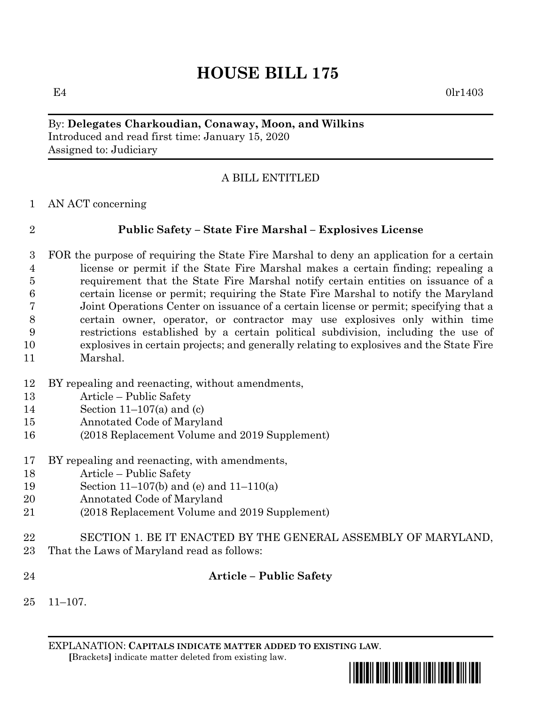# **HOUSE BILL 175**

 $E4$  0lr1403

#### By: **Delegates Charkoudian, Conaway, Moon, and Wilkins** Introduced and read first time: January 15, 2020 Assigned to: Judiciary

# A BILL ENTITLED

AN ACT concerning

# **Public Safety – State Fire Marshal – Explosives License**

- FOR the purpose of requiring the State Fire Marshal to deny an application for a certain license or permit if the State Fire Marshal makes a certain finding; repealing a requirement that the State Fire Marshal notify certain entities on issuance of a certain license or permit; requiring the State Fire Marshal to notify the Maryland Joint Operations Center on issuance of a certain license or permit; specifying that a certain owner, operator, or contractor may use explosives only within time restrictions established by a certain political subdivision, including the use of explosives in certain projects; and generally relating to explosives and the State Fire Marshal.
- BY repealing and reenacting, without amendments,
- Article Public Safety
- Section 11–107(a) and (c)
- Annotated Code of Maryland
- (2018 Replacement Volume and 2019 Supplement)
- BY repealing and reenacting, with amendments,
- Article Public Safety
- Section 11–107(b) and (e) and 11–110(a)
- Annotated Code of Maryland
- (2018 Replacement Volume and 2019 Supplement)
- SECTION 1. BE IT ENACTED BY THE GENERAL ASSEMBLY OF MARYLAND, That the Laws of Maryland read as follows:
- 
- 

# **Article – Public Safety**

11–107.

EXPLANATION: **CAPITALS INDICATE MATTER ADDED TO EXISTING LAW**.  **[**Brackets**]** indicate matter deleted from existing law.

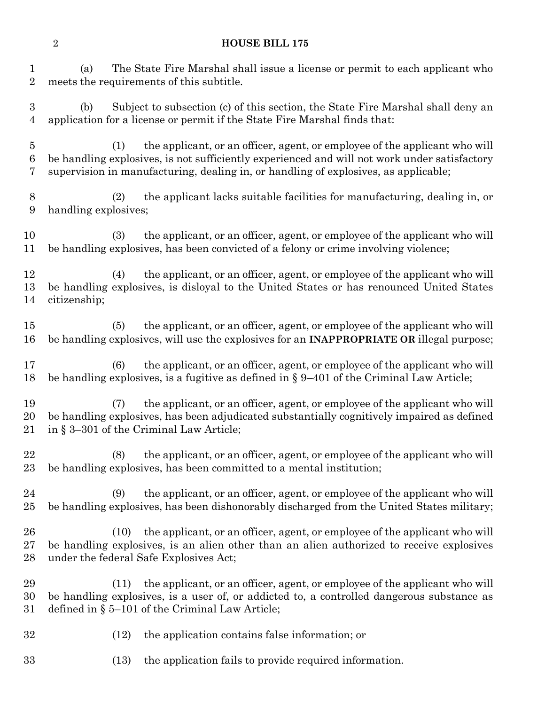#### **HOUSE BILL 175**

 (a) The State Fire Marshal shall issue a license or permit to each applicant who meets the requirements of this subtitle.

 (b) Subject to subsection (c) of this section, the State Fire Marshal shall deny an application for a license or permit if the State Fire Marshal finds that:

 (1) the applicant, or an officer, agent, or employee of the applicant who will be handling explosives, is not sufficiently experienced and will not work under satisfactory supervision in manufacturing, dealing in, or handling of explosives, as applicable;

 (2) the applicant lacks suitable facilities for manufacturing, dealing in, or handling explosives;

 (3) the applicant, or an officer, agent, or employee of the applicant who will be handling explosives, has been convicted of a felony or crime involving violence;

 (4) the applicant, or an officer, agent, or employee of the applicant who will be handling explosives, is disloyal to the United States or has renounced United States citizenship;

 (5) the applicant, or an officer, agent, or employee of the applicant who will be handling explosives, will use the explosives for an **INAPPROPRIATE OR** illegal purpose;

 (6) the applicant, or an officer, agent, or employee of the applicant who will be handling explosives, is a fugitive as defined in § 9–401 of the Criminal Law Article;

 (7) the applicant, or an officer, agent, or employee of the applicant who will be handling explosives, has been adjudicated substantially cognitively impaired as defined in § 3–301 of the Criminal Law Article;

 (8) the applicant, or an officer, agent, or employee of the applicant who will be handling explosives, has been committed to a mental institution;

 (9) the applicant, or an officer, agent, or employee of the applicant who will be handling explosives, has been dishonorably discharged from the United States military;

 (10) the applicant, or an officer, agent, or employee of the applicant who will be handling explosives, is an alien other than an alien authorized to receive explosives under the federal Safe Explosives Act;

 (11) the applicant, or an officer, agent, or employee of the applicant who will be handling explosives, is a user of, or addicted to, a controlled dangerous substance as defined in § 5–101 of the Criminal Law Article;

- (12) the application contains false information; or
- (13) the application fails to provide required information.